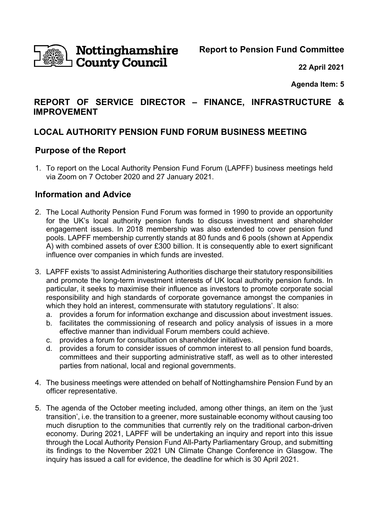

# **Nottinghamshire**<br>I County Council

**Report to Pension Fund Committee** 

**22 April 2021** 

**Agenda Item: 5** 

# **REPORT OF SERVICE DIRECTOR – FINANCE, INFRASTRUCTURE & IMPROVEMENT**

# **LOCAL AUTHORITY PENSION FUND FORUM BUSINESS MEETING**

## **Purpose of the Report**

1. To report on the Local Authority Pension Fund Forum (LAPFF) business meetings held via Zoom on 7 October 2020 and 27 January 2021.

## **Information and Advice**

- 2. The Local Authority Pension Fund Forum was formed in 1990 to provide an opportunity for the UK's local authority pension funds to discuss investment and shareholder engagement issues. In 2018 membership was also extended to cover pension fund pools. LAPFF membership currently stands at 80 funds and 6 pools (shown at Appendix A) with combined assets of over £300 billion. It is consequently able to exert significant influence over companies in which funds are invested.
- 3. LAPFF exists 'to assist Administering Authorities discharge their statutory responsibilities and promote the long-term investment interests of UK local authority pension funds. In particular, it seeks to maximise their influence as investors to promote corporate social responsibility and high standards of corporate governance amongst the companies in which they hold an interest, commensurate with statutory regulations'. It also:
	- a. provides a forum for information exchange and discussion about investment issues.
	- b. facilitates the commissioning of research and policy analysis of issues in a more effective manner than individual Forum members could achieve.
	- c. provides a forum for consultation on shareholder initiatives.
	- d. provides a forum to consider issues of common interest to all pension fund boards, committees and their supporting administrative staff, as well as to other interested parties from national, local and regional governments.
- 4. The business meetings were attended on behalf of Nottinghamshire Pension Fund by an officer representative.
- 5. The agenda of the October meeting included, among other things, an item on the 'just transition', i.e. the transition to a greener, more sustainable economy without causing too much disruption to the communities that currently rely on the traditional carbon-driven economy. During 2021, LAPFF will be undertaking an inquiry and report into this issue through the Local Authority Pension Fund All-Party Parliamentary Group, and submitting its findings to the November 2021 UN Climate Change Conference in Glasgow. The inquiry has issued a call for evidence, the deadline for which is 30 April 2021.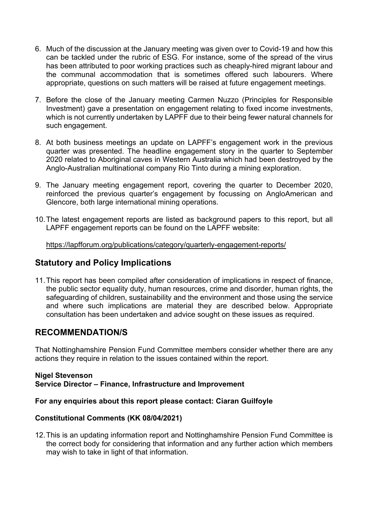- 6. Much of the discussion at the January meeting was given over to Covid-19 and how this can be tackled under the rubric of ESG. For instance, some of the spread of the virus has been attributed to poor working practices such as cheaply-hired migrant labour and the communal accommodation that is sometimes offered such labourers. Where appropriate, questions on such matters will be raised at future engagement meetings.
- 7. Before the close of the January meeting Carmen Nuzzo (Principles for Responsible Investment) gave a presentation on engagement relating to fixed income investments, which is not currently undertaken by LAPFF due to their being fewer natural channels for such engagement.
- 8. At both business meetings an update on LAPFF's engagement work in the previous quarter was presented. The headline engagement story in the quarter to September 2020 related to Aboriginal caves in Western Australia which had been destroyed by the Anglo-Australian multinational company Rio Tinto during a mining exploration.
- 9. The January meeting engagement report, covering the quarter to December 2020, reinforced the previous quarter's engagement by focussing on AngloAmerican and Glencore, both large international mining operations.
- 10. The latest engagement reports are listed as background papers to this report, but all LAPFF engagement reports can be found on the LAPFF website:

https://lapfforum.org/publications/category/quarterly-engagement-reports/

### **Statutory and Policy Implications**

11. This report has been compiled after consideration of implications in respect of finance, the public sector equality duty, human resources, crime and disorder, human rights, the safeguarding of children, sustainability and the environment and those using the service and where such implications are material they are described below. Appropriate consultation has been undertaken and advice sought on these issues as required.

#### **RECOMMENDATION/S**

That Nottinghamshire Pension Fund Committee members consider whether there are any actions they require in relation to the issues contained within the report.

#### **Nigel Stevenson Service Director – Finance, Infrastructure and Improvement**

#### **For any enquiries about this report please contact: Ciaran Guilfoyle**

#### **Constitutional Comments (KK 08/04/2021)**

12. This is an updating information report and Nottinghamshire Pension Fund Committee is the correct body for considering that information and any further action which members may wish to take in light of that information.